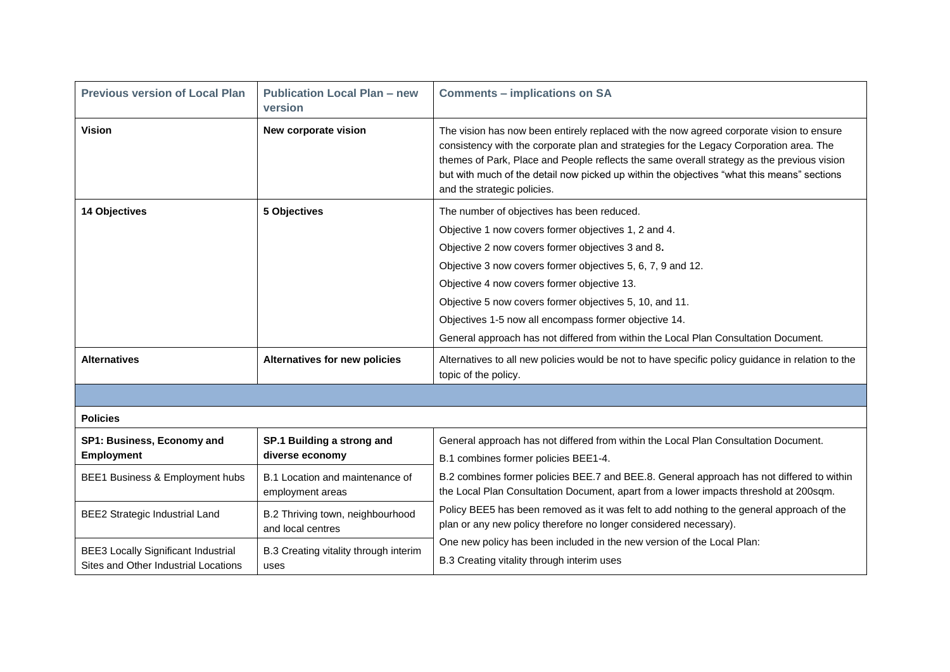| <b>Previous version of Local Plan</b>                                              | <b>Publication Local Plan - new</b><br>version        | <b>Comments - implications on SA</b>                                                                                                                                                                                                                                                                                                                                                                           |
|------------------------------------------------------------------------------------|-------------------------------------------------------|----------------------------------------------------------------------------------------------------------------------------------------------------------------------------------------------------------------------------------------------------------------------------------------------------------------------------------------------------------------------------------------------------------------|
| <b>Vision</b>                                                                      | New corporate vision                                  | The vision has now been entirely replaced with the now agreed corporate vision to ensure<br>consistency with the corporate plan and strategies for the Legacy Corporation area. The<br>themes of Park, Place and People reflects the same overall strategy as the previous vision<br>but with much of the detail now picked up within the objectives "what this means" sections<br>and the strategic policies. |
| <b>14 Objectives</b>                                                               | 5 Objectives                                          | The number of objectives has been reduced.<br>Objective 1 now covers former objectives 1, 2 and 4.<br>Objective 2 now covers former objectives 3 and 8.<br>Objective 3 now covers former objectives 5, 6, 7, 9 and 12.<br>Objective 4 now covers former objective 13.<br>Objective 5 now covers former objectives 5, 10, and 11.<br>Objectives 1-5 now all encompass former objective 14.                      |
|                                                                                    |                                                       | General approach has not differed from within the Local Plan Consultation Document.                                                                                                                                                                                                                                                                                                                            |
| <b>Alternatives</b>                                                                | Alternatives for new policies                         | Alternatives to all new policies would be not to have specific policy guidance in relation to the<br>topic of the policy.                                                                                                                                                                                                                                                                                      |
|                                                                                    |                                                       |                                                                                                                                                                                                                                                                                                                                                                                                                |
| <b>Policies</b>                                                                    |                                                       |                                                                                                                                                                                                                                                                                                                                                                                                                |
| SP1: Business, Economy and<br><b>Employment</b>                                    | SP.1 Building a strong and<br>diverse economy         | General approach has not differed from within the Local Plan Consultation Document.<br>B.1 combines former policies BEE1-4.                                                                                                                                                                                                                                                                                    |
| BEE1 Business & Employment hubs                                                    | B.1 Location and maintenance of<br>employment areas   | B.2 combines former policies BEE.7 and BEE.8. General approach has not differed to within<br>the Local Plan Consultation Document, apart from a lower impacts threshold at 200sqm.                                                                                                                                                                                                                             |
| <b>BEE2 Strategic Industrial Land</b>                                              | B.2 Thriving town, neighbourhood<br>and local centres | Policy BEE5 has been removed as it was felt to add nothing to the general approach of the<br>plan or any new policy therefore no longer considered necessary).                                                                                                                                                                                                                                                 |
| <b>BEE3 Locally Significant Industrial</b><br>Sites and Other Industrial Locations | B.3 Creating vitality through interim<br>uses         | One new policy has been included in the new version of the Local Plan:<br>B.3 Creating vitality through interim uses                                                                                                                                                                                                                                                                                           |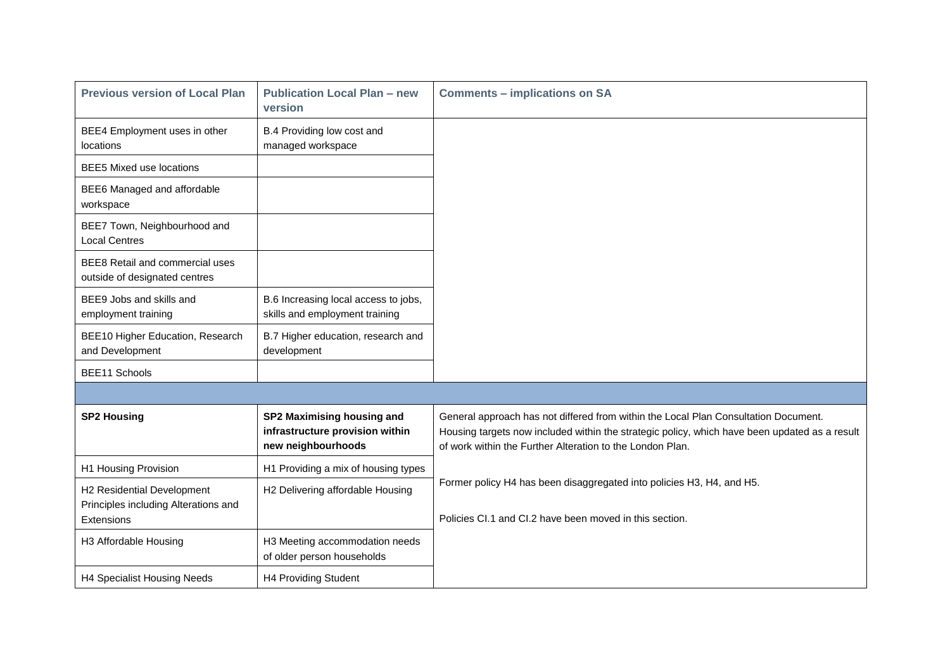| <b>Previous version of Local Plan</b>                                            | <b>Publication Local Plan - new</b><br>version                                      | <b>Comments - implications on SA</b>                                                                                                                                                                                                              |
|----------------------------------------------------------------------------------|-------------------------------------------------------------------------------------|---------------------------------------------------------------------------------------------------------------------------------------------------------------------------------------------------------------------------------------------------|
| BEE4 Employment uses in other<br>locations                                       | B.4 Providing low cost and<br>managed workspace                                     |                                                                                                                                                                                                                                                   |
| <b>BEE5 Mixed use locations</b>                                                  |                                                                                     |                                                                                                                                                                                                                                                   |
| BEE6 Managed and affordable<br>workspace                                         |                                                                                     |                                                                                                                                                                                                                                                   |
| BEE7 Town, Neighbourhood and<br><b>Local Centres</b>                             |                                                                                     |                                                                                                                                                                                                                                                   |
| <b>BEE8 Retail and commercial uses</b><br>outside of designated centres          |                                                                                     |                                                                                                                                                                                                                                                   |
| BEE9 Jobs and skills and<br>employment training                                  | B.6 Increasing local access to jobs,<br>skills and employment training              |                                                                                                                                                                                                                                                   |
| BEE10 Higher Education, Research<br>and Development                              | B.7 Higher education, research and<br>development                                   |                                                                                                                                                                                                                                                   |
| BEE11 Schools                                                                    |                                                                                     |                                                                                                                                                                                                                                                   |
|                                                                                  |                                                                                     |                                                                                                                                                                                                                                                   |
| <b>SP2 Housing</b>                                                               | SP2 Maximising housing and<br>infrastructure provision within<br>new neighbourhoods | General approach has not differed from within the Local Plan Consultation Document.<br>Housing targets now included within the strategic policy, which have been updated as a result<br>of work within the Further Alteration to the London Plan. |
| H1 Housing Provision                                                             | H1 Providing a mix of housing types                                                 |                                                                                                                                                                                                                                                   |
| H2 Residential Development<br>Principles including Alterations and<br>Extensions | H2 Delivering affordable Housing                                                    | Former policy H4 has been disaggregated into policies H3, H4, and H5.<br>Policies CI.1 and CI.2 have been moved in this section.                                                                                                                  |
| H3 Affordable Housing                                                            | H3 Meeting accommodation needs<br>of older person households                        |                                                                                                                                                                                                                                                   |
| H4 Specialist Housing Needs                                                      | H4 Providing Student                                                                |                                                                                                                                                                                                                                                   |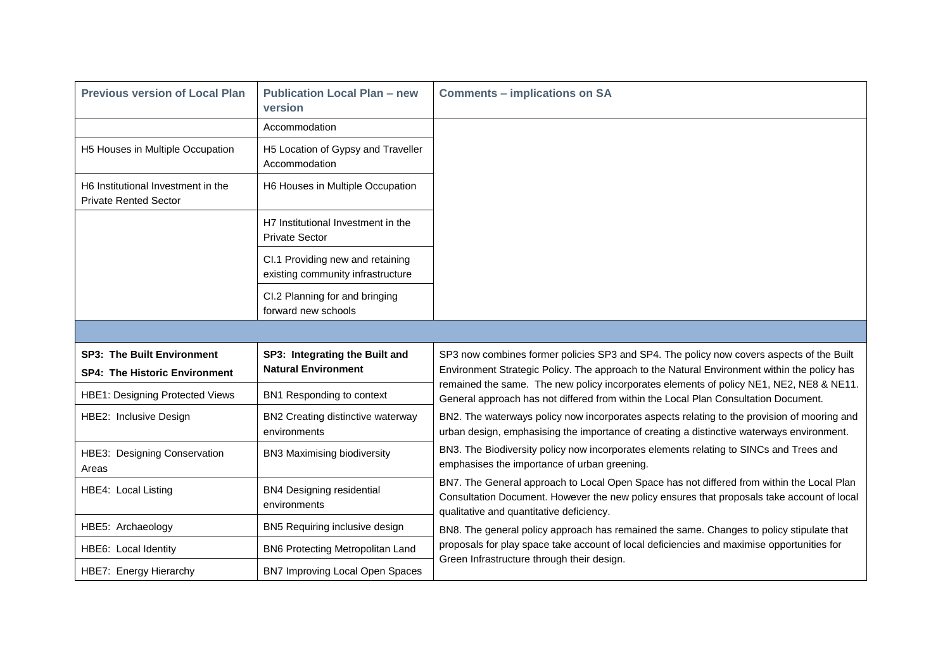| <b>Previous version of Local Plan</b>                                     | <b>Publication Local Plan - new</b><br>version                        | <b>Comments - implications on SA</b>                                                                                                                                                                                                |
|---------------------------------------------------------------------------|-----------------------------------------------------------------------|-------------------------------------------------------------------------------------------------------------------------------------------------------------------------------------------------------------------------------------|
|                                                                           | Accommodation                                                         |                                                                                                                                                                                                                                     |
| H5 Houses in Multiple Occupation                                          | H5 Location of Gypsy and Traveller<br>Accommodation                   |                                                                                                                                                                                                                                     |
| H6 Institutional Investment in the<br><b>Private Rented Sector</b>        | H6 Houses in Multiple Occupation                                      |                                                                                                                                                                                                                                     |
|                                                                           | H7 Institutional Investment in the<br><b>Private Sector</b>           |                                                                                                                                                                                                                                     |
|                                                                           | CI.1 Providing new and retaining<br>existing community infrastructure |                                                                                                                                                                                                                                     |
|                                                                           | CI.2 Planning for and bringing<br>forward new schools                 |                                                                                                                                                                                                                                     |
|                                                                           |                                                                       |                                                                                                                                                                                                                                     |
| <b>SP3: The Built Environment</b><br><b>SP4: The Historic Environment</b> | SP3: Integrating the Built and<br><b>Natural Environment</b>          | SP3 now combines former policies SP3 and SP4. The policy now covers aspects of the Built<br>Environment Strategic Policy. The approach to the Natural Environment within the policy has                                             |
| <b>HBE1: Designing Protected Views</b>                                    | BN1 Responding to context                                             | remained the same. The new policy incorporates elements of policy NE1, NE2, NE8 & NE11.<br>General approach has not differed from within the Local Plan Consultation Document.                                                      |
| HBE2: Inclusive Design                                                    | BN2 Creating distinctive waterway<br>environments                     | BN2. The waterways policy now incorporates aspects relating to the provision of mooring and<br>urban design, emphasising the importance of creating a distinctive waterways environment.                                            |
| HBE3: Designing Conservation<br>Areas                                     | <b>BN3 Maximising biodiversity</b>                                    | BN3. The Biodiversity policy now incorporates elements relating to SINCs and Trees and<br>emphasises the importance of urban greening.                                                                                              |
| HBE4: Local Listing                                                       | <b>BN4 Designing residential</b><br>environments                      | BN7. The General approach to Local Open Space has not differed from within the Local Plan<br>Consultation Document. However the new policy ensures that proposals take account of local<br>qualitative and quantitative deficiency. |
| HBE5: Archaeology                                                         | BN5 Requiring inclusive design                                        | BN8. The general policy approach has remained the same. Changes to policy stipulate that                                                                                                                                            |
| HBE6: Local Identity                                                      | BN6 Protecting Metropolitan Land                                      | proposals for play space take account of local deficiencies and maximise opportunities for<br>Green Infrastructure through their design.                                                                                            |
| HBE7: Energy Hierarchy                                                    | BN7 Improving Local Open Spaces                                       |                                                                                                                                                                                                                                     |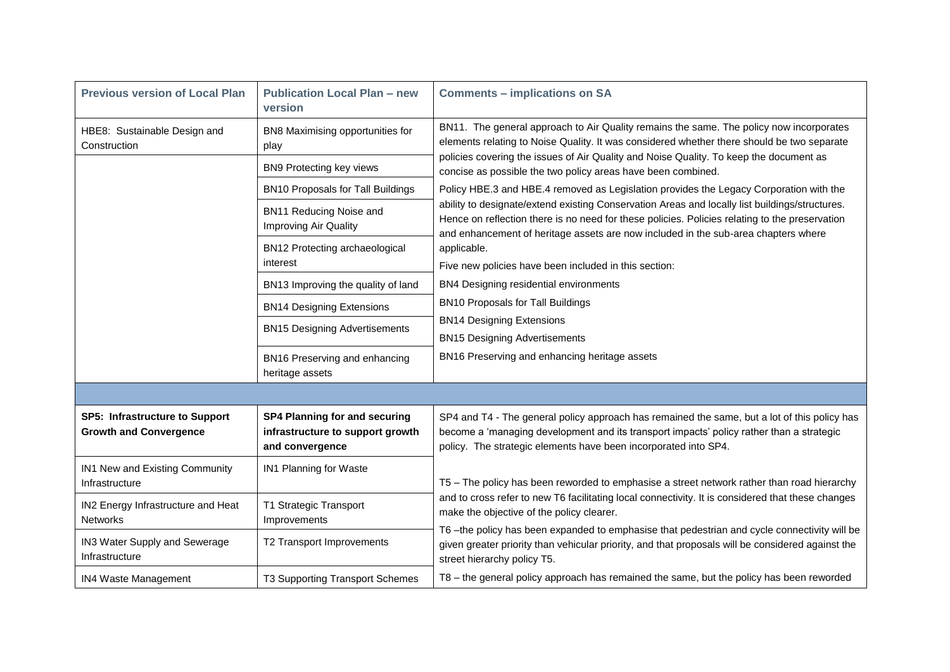| <b>Previous version of Local Plan</b>                                                                                                                        | <b>Publication Local Plan - new</b><br>version                                                                   | <b>Comments - implications on SA</b>                                                                                                                                                                                                                                                   |
|--------------------------------------------------------------------------------------------------------------------------------------------------------------|------------------------------------------------------------------------------------------------------------------|----------------------------------------------------------------------------------------------------------------------------------------------------------------------------------------------------------------------------------------------------------------------------------------|
| HBE8: Sustainable Design and<br>Construction                                                                                                                 | BN8 Maximising opportunities for<br>play                                                                         | BN11. The general approach to Air Quality remains the same. The policy now incorporates<br>elements relating to Noise Quality. It was considered whether there should be two separate                                                                                                  |
|                                                                                                                                                              | BN9 Protecting key views                                                                                         | policies covering the issues of Air Quality and Noise Quality. To keep the document as<br>concise as possible the two policy areas have been combined.                                                                                                                                 |
| <b>BN10 Proposals for Tall Buildings</b>                                                                                                                     | Policy HBE.3 and HBE.4 removed as Legislation provides the Legacy Corporation with the                           |                                                                                                                                                                                                                                                                                        |
|                                                                                                                                                              | BN11 Reducing Noise and<br>Improving Air Quality                                                                 | ability to designate/extend existing Conservation Areas and locally list buildings/structures.<br>Hence on reflection there is no need for these policies. Policies relating to the preservation<br>and enhancement of heritage assets are now included in the sub-area chapters where |
|                                                                                                                                                              | BN12 Protecting archaeological                                                                                   | applicable.                                                                                                                                                                                                                                                                            |
|                                                                                                                                                              | interest                                                                                                         | Five new policies have been included in this section:                                                                                                                                                                                                                                  |
| BN4 Designing residential environments<br>BN13 Improving the quality of land<br><b>BN10 Proposals for Tall Buildings</b><br><b>BN14 Designing Extensions</b> |                                                                                                                  |                                                                                                                                                                                                                                                                                        |
|                                                                                                                                                              |                                                                                                                  |                                                                                                                                                                                                                                                                                        |
|                                                                                                                                                              | <b>BN14 Designing Extensions</b><br><b>BN15 Designing Advertisements</b><br><b>BN15 Designing Advertisements</b> |                                                                                                                                                                                                                                                                                        |
|                                                                                                                                                              | BN16 Preserving and enhancing<br>heritage assets                                                                 | BN16 Preserving and enhancing heritage assets                                                                                                                                                                                                                                          |
|                                                                                                                                                              |                                                                                                                  |                                                                                                                                                                                                                                                                                        |
| SP5: Infrastructure to Support<br><b>Growth and Convergence</b>                                                                                              | <b>SP4 Planning for and securing</b><br>infrastructure to support growth<br>and convergence                      | SP4 and T4 - The general policy approach has remained the same, but a lot of this policy has<br>become a 'managing development and its transport impacts' policy rather than a strategic<br>policy. The strategic elements have been incorporated into SP4.                            |
| IN1 New and Existing Community<br>Infrastructure                                                                                                             | IN1 Planning for Waste                                                                                           | T5 - The policy has been reworded to emphasise a street network rather than road hierarchy                                                                                                                                                                                             |
| IN2 Energy Infrastructure and Heat<br><b>Networks</b>                                                                                                        | T1 Strategic Transport<br>Improvements                                                                           | and to cross refer to new T6 facilitating local connectivity. It is considered that these changes<br>make the objective of the policy clearer.                                                                                                                                         |
| IN3 Water Supply and Sewerage<br>Infrastructure                                                                                                              | T2 Transport Improvements                                                                                        | T6 -the policy has been expanded to emphasise that pedestrian and cycle connectivity will be<br>given greater priority than vehicular priority, and that proposals will be considered against the<br>street hierarchy policy T5.                                                       |
| IN4 Waste Management                                                                                                                                         | T3 Supporting Transport Schemes                                                                                  | T8 - the general policy approach has remained the same, but the policy has been reworded                                                                                                                                                                                               |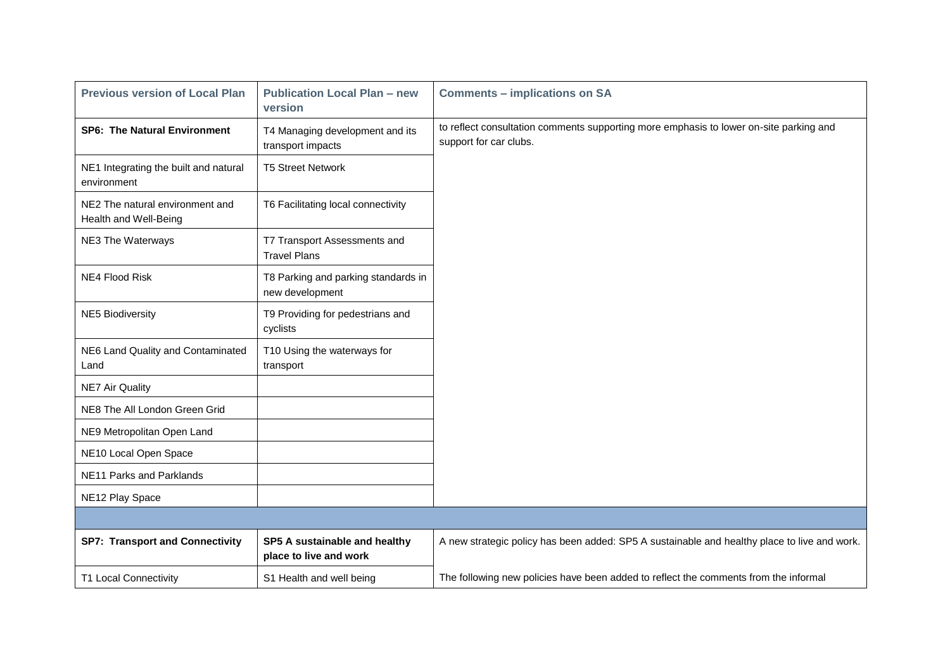| <b>Previous version of Local Plan</b>                    | <b>Publication Local Plan - new</b><br>version          | <b>Comments - implications on SA</b>                                                                             |
|----------------------------------------------------------|---------------------------------------------------------|------------------------------------------------------------------------------------------------------------------|
| <b>SP6: The Natural Environment</b>                      | T4 Managing development and its<br>transport impacts    | to reflect consultation comments supporting more emphasis to lower on-site parking and<br>support for car clubs. |
| NE1 Integrating the built and natural<br>environment     | <b>T5 Street Network</b>                                |                                                                                                                  |
| NE2 The natural environment and<br>Health and Well-Being | T6 Facilitating local connectivity                      |                                                                                                                  |
| NE3 The Waterways                                        | T7 Transport Assessments and<br><b>Travel Plans</b>     |                                                                                                                  |
| NE4 Flood Risk                                           | T8 Parking and parking standards in<br>new development  |                                                                                                                  |
| <b>NE5 Biodiversity</b>                                  | T9 Providing for pedestrians and<br>cyclists            |                                                                                                                  |
| NE6 Land Quality and Contaminated<br>Land                | T10 Using the waterways for<br>transport                |                                                                                                                  |
| <b>NE7 Air Quality</b>                                   |                                                         |                                                                                                                  |
| NE8 The All London Green Grid                            |                                                         |                                                                                                                  |
| NE9 Metropolitan Open Land                               |                                                         |                                                                                                                  |
| NE10 Local Open Space                                    |                                                         |                                                                                                                  |
| NE11 Parks and Parklands                                 |                                                         |                                                                                                                  |
| NE12 Play Space                                          |                                                         |                                                                                                                  |
|                                                          |                                                         |                                                                                                                  |
| <b>SP7: Transport and Connectivity</b>                   | SP5 A sustainable and healthy<br>place to live and work | A new strategic policy has been added: SP5 A sustainable and healthy place to live and work.                     |
| <b>T1 Local Connectivity</b>                             | S1 Health and well being                                | The following new policies have been added to reflect the comments from the informal                             |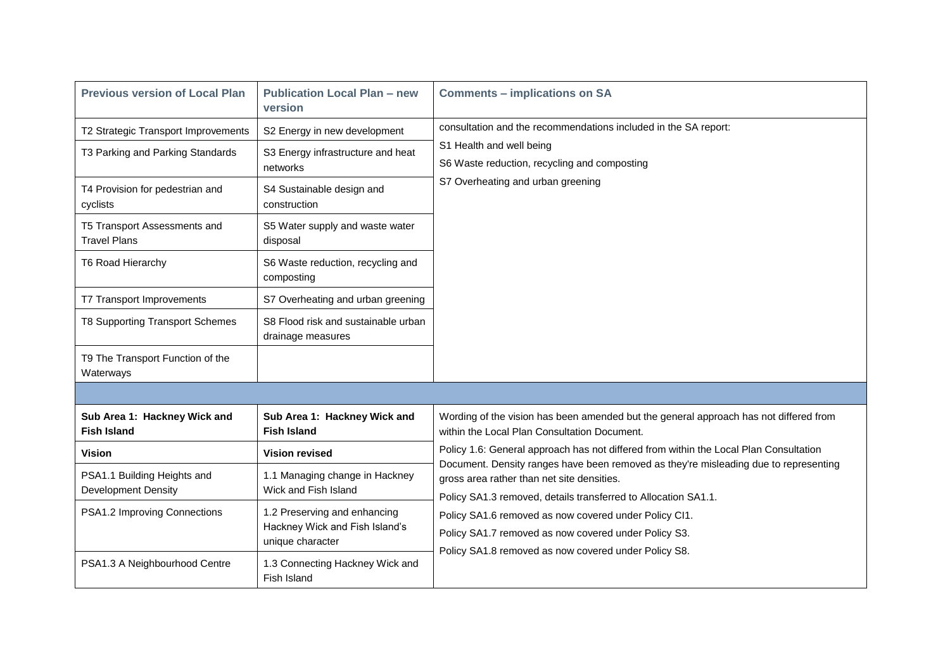| <b>Previous version of Local Plan</b>                     | <b>Publication Local Plan - new</b><br>version                                     | <b>Comments - implications on SA</b>                                                                                                                                                                 |
|-----------------------------------------------------------|------------------------------------------------------------------------------------|------------------------------------------------------------------------------------------------------------------------------------------------------------------------------------------------------|
| T2 Strategic Transport Improvements                       | S2 Energy in new development                                                       | consultation and the recommendations included in the SA report:                                                                                                                                      |
| T3 Parking and Parking Standards                          | S3 Energy infrastructure and heat<br>networks                                      | S1 Health and well being<br>S6 Waste reduction, recycling and composting                                                                                                                             |
| T4 Provision for pedestrian and<br>cyclists               | S4 Sustainable design and<br>construction                                          | S7 Overheating and urban greening                                                                                                                                                                    |
| T5 Transport Assessments and<br><b>Travel Plans</b>       | S5 Water supply and waste water<br>disposal                                        |                                                                                                                                                                                                      |
| <b>T6 Road Hierarchy</b>                                  | S6 Waste reduction, recycling and<br>composting                                    |                                                                                                                                                                                                      |
| T7 Transport Improvements                                 | S7 Overheating and urban greening                                                  |                                                                                                                                                                                                      |
| <b>T8 Supporting Transport Schemes</b>                    | S8 Flood risk and sustainable urban<br>drainage measures                           |                                                                                                                                                                                                      |
| T9 The Transport Function of the<br>Waterways             |                                                                                    |                                                                                                                                                                                                      |
|                                                           |                                                                                    |                                                                                                                                                                                                      |
| Sub Area 1: Hackney Wick and<br><b>Fish Island</b>        | Sub Area 1: Hackney Wick and<br><b>Fish Island</b>                                 | Wording of the vision has been amended but the general approach has not differed from<br>within the Local Plan Consultation Document.                                                                |
| Vision                                                    | <b>Vision revised</b>                                                              | Policy 1.6: General approach has not differed from within the Local Plan Consultation                                                                                                                |
| PSA1.1 Building Heights and<br><b>Development Density</b> | 1.1 Managing change in Hackney<br>Wick and Fish Island                             | Document. Density ranges have been removed as they're misleading due to representing<br>gross area rather than net site densities.<br>Policy SA1.3 removed, details transferred to Allocation SA1.1. |
| PSA1.2 Improving Connections                              | 1.2 Preserving and enhancing<br>Hackney Wick and Fish Island's<br>unique character | Policy SA1.6 removed as now covered under Policy CI1.<br>Policy SA1.7 removed as now covered under Policy S3.<br>Policy SA1.8 removed as now covered under Policy S8.                                |
| PSA1.3 A Neighbourhood Centre                             | 1.3 Connecting Hackney Wick and<br>Fish Island                                     |                                                                                                                                                                                                      |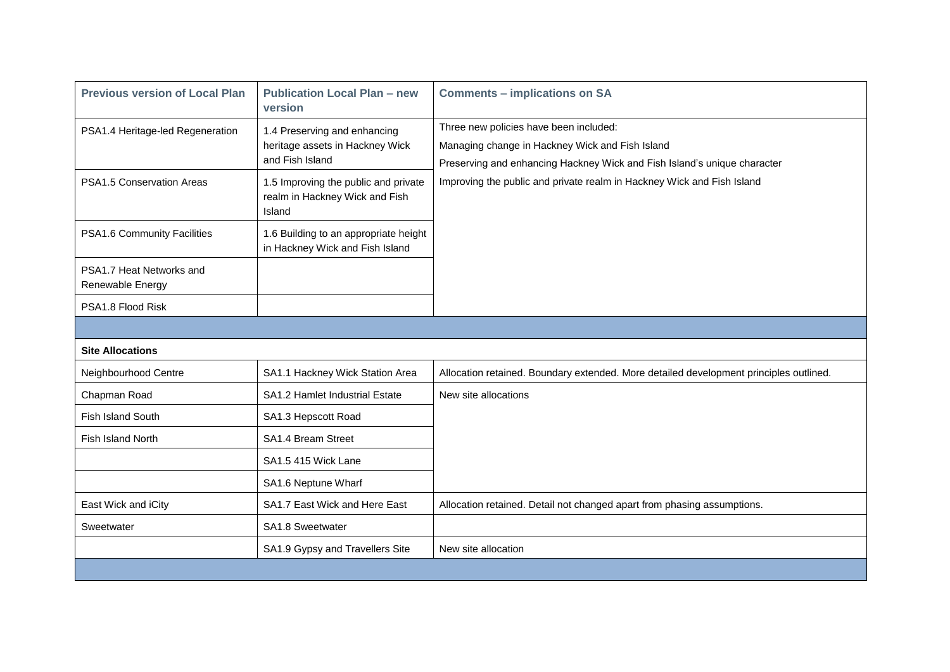| <b>Previous version of Local Plan</b>        | <b>Publication Local Plan - new</b><br>version                                     | <b>Comments - implications on SA</b>                                                                                                                                  |
|----------------------------------------------|------------------------------------------------------------------------------------|-----------------------------------------------------------------------------------------------------------------------------------------------------------------------|
| PSA1.4 Heritage-led Regeneration             | 1.4 Preserving and enhancing<br>heritage assets in Hackney Wick<br>and Fish Island | Three new policies have been included:<br>Managing change in Hackney Wick and Fish Island<br>Preserving and enhancing Hackney Wick and Fish Island's unique character |
| <b>PSA1.5 Conservation Areas</b>             | 1.5 Improving the public and private<br>realm in Hackney Wick and Fish<br>Island   | Improving the public and private realm in Hackney Wick and Fish Island                                                                                                |
| PSA1.6 Community Facilities                  | 1.6 Building to an appropriate height<br>in Hackney Wick and Fish Island           |                                                                                                                                                                       |
| PSA1.7 Heat Networks and<br>Renewable Energy |                                                                                    |                                                                                                                                                                       |
| PSA1.8 Flood Risk                            |                                                                                    |                                                                                                                                                                       |
|                                              |                                                                                    |                                                                                                                                                                       |
| <b>Site Allocations</b>                      |                                                                                    |                                                                                                                                                                       |
| Neighbourhood Centre                         | SA1.1 Hackney Wick Station Area                                                    | Allocation retained. Boundary extended. More detailed development principles outlined.                                                                                |
| Chapman Road                                 | SA1.2 Hamlet Industrial Estate                                                     | New site allocations                                                                                                                                                  |
| <b>Fish Island South</b>                     | SA1.3 Hepscott Road                                                                |                                                                                                                                                                       |
| Fish Island North                            | SA1.4 Bream Street                                                                 |                                                                                                                                                                       |
|                                              | SA1.5 415 Wick Lane                                                                |                                                                                                                                                                       |
|                                              | SA1.6 Neptune Wharf                                                                |                                                                                                                                                                       |
| East Wick and iCity                          | SA1.7 East Wick and Here East                                                      | Allocation retained. Detail not changed apart from phasing assumptions.                                                                                               |
| Sweetwater                                   | SA1.8 Sweetwater                                                                   |                                                                                                                                                                       |
|                                              | SA1.9 Gypsy and Travellers Site                                                    | New site allocation                                                                                                                                                   |
|                                              |                                                                                    |                                                                                                                                                                       |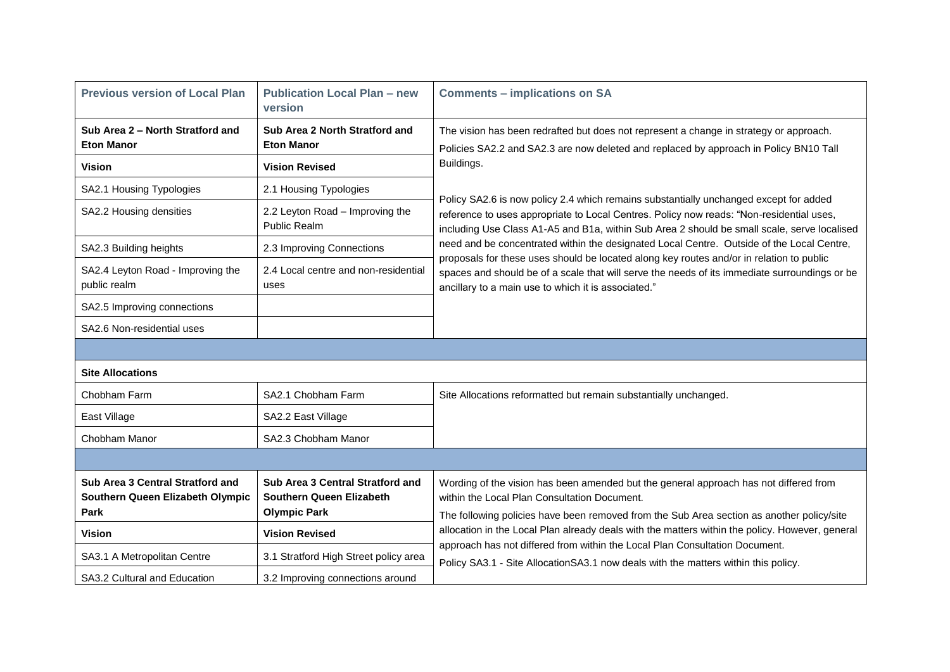| <b>Previous version of Local Plan</b>                                        | <b>Publication Local Plan - new</b><br>version                                      | <b>Comments - implications on SA</b>                                                                                                                                                                                                                                             |  |
|------------------------------------------------------------------------------|-------------------------------------------------------------------------------------|----------------------------------------------------------------------------------------------------------------------------------------------------------------------------------------------------------------------------------------------------------------------------------|--|
| Sub Area 2 – North Stratford and<br><b>Eton Manor</b>                        | Sub Area 2 North Stratford and<br><b>Eton Manor</b>                                 | The vision has been redrafted but does not represent a change in strategy or approach.<br>Policies SA2.2 and SA2.3 are now deleted and replaced by approach in Policy BN10 Tall                                                                                                  |  |
| <b>Vision</b>                                                                | <b>Vision Revised</b>                                                               | Buildings.                                                                                                                                                                                                                                                                       |  |
| SA2.1 Housing Typologies                                                     | 2.1 Housing Typologies                                                              | Policy SA2.6 is now policy 2.4 which remains substantially unchanged except for added<br>reference to uses appropriate to Local Centres. Policy now reads: "Non-residential uses,<br>including Use Class A1-A5 and B1a, within Sub Area 2 should be small scale, serve localised |  |
| SA2.2 Housing densities                                                      | 2.2 Leyton Road - Improving the<br><b>Public Realm</b>                              |                                                                                                                                                                                                                                                                                  |  |
| SA2.3 Building heights                                                       | 2.3 Improving Connections                                                           | need and be concentrated within the designated Local Centre. Outside of the Local Centre,                                                                                                                                                                                        |  |
| SA2.4 Leyton Road - Improving the<br>public realm                            | 2.4 Local centre and non-residential<br>uses                                        | proposals for these uses should be located along key routes and/or in relation to public<br>spaces and should be of a scale that will serve the needs of its immediate surroundings or be<br>ancillary to a main use to which it is associated."                                 |  |
| SA2.5 Improving connections                                                  |                                                                                     |                                                                                                                                                                                                                                                                                  |  |
| SA2.6 Non-residential uses                                                   |                                                                                     |                                                                                                                                                                                                                                                                                  |  |
|                                                                              |                                                                                     |                                                                                                                                                                                                                                                                                  |  |
| <b>Site Allocations</b>                                                      |                                                                                     |                                                                                                                                                                                                                                                                                  |  |
| Chobham Farm                                                                 | SA2.1 Chobham Farm                                                                  | Site Allocations reformatted but remain substantially unchanged.                                                                                                                                                                                                                 |  |
| East Village                                                                 | SA2.2 East Village                                                                  |                                                                                                                                                                                                                                                                                  |  |
| Chobham Manor                                                                | SA2.3 Chobham Manor                                                                 |                                                                                                                                                                                                                                                                                  |  |
|                                                                              |                                                                                     |                                                                                                                                                                                                                                                                                  |  |
| Sub Area 3 Central Stratford and<br>Southern Queen Elizabeth Olympic<br>Park | Sub Area 3 Central Stratford and<br>Southern Queen Elizabeth<br><b>Olympic Park</b> | Wording of the vision has been amended but the general approach has not differed from<br>within the Local Plan Consultation Document.<br>The following policies have been removed from the Sub Area section as another policy/site                                               |  |
| <b>Vision</b>                                                                | <b>Vision Revised</b>                                                               | allocation in the Local Plan already deals with the matters within the policy. However, general<br>approach has not differed from within the Local Plan Consultation Document.                                                                                                   |  |
| SA3.1 A Metropolitan Centre                                                  | 3.1 Stratford High Street policy area                                               | Policy SA3.1 - Site Allocation SA3.1 now deals with the matters within this policy.                                                                                                                                                                                              |  |
| SA3.2 Cultural and Education                                                 | 3.2 Improving connections around                                                    |                                                                                                                                                                                                                                                                                  |  |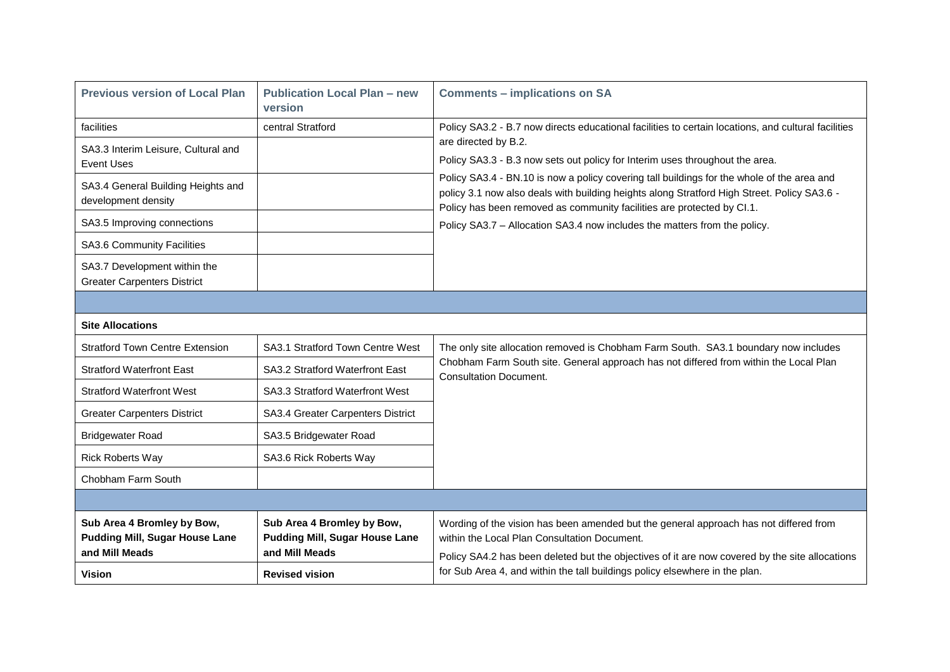| <b>Previous version of Local Plan</b>                                                 | <b>Publication Local Plan - new</b><br>version                                        | <b>Comments - implications on SA</b>                                                                                                                                                                                                                                |  |
|---------------------------------------------------------------------------------------|---------------------------------------------------------------------------------------|---------------------------------------------------------------------------------------------------------------------------------------------------------------------------------------------------------------------------------------------------------------------|--|
| facilities                                                                            | central Stratford                                                                     | Policy SA3.2 - B.7 now directs educational facilities to certain locations, and cultural facilities                                                                                                                                                                 |  |
| SA3.3 Interim Leisure, Cultural and<br>Event Uses                                     |                                                                                       | are directed by B.2.<br>Policy SA3.3 - B.3 now sets out policy for Interim uses throughout the area.                                                                                                                                                                |  |
| SA3.4 General Building Heights and<br>development density                             |                                                                                       | Policy SA3.4 - BN.10 is now a policy covering tall buildings for the whole of the area and<br>policy 3.1 now also deals with building heights along Stratford High Street. Policy SA3.6 -<br>Policy has been removed as community facilities are protected by Cl.1. |  |
| SA3.5 Improving connections                                                           |                                                                                       | Policy SA3.7 - Allocation SA3.4 now includes the matters from the policy.                                                                                                                                                                                           |  |
| SA3.6 Community Facilities                                                            |                                                                                       |                                                                                                                                                                                                                                                                     |  |
| SA3.7 Development within the<br><b>Greater Carpenters District</b>                    |                                                                                       |                                                                                                                                                                                                                                                                     |  |
|                                                                                       |                                                                                       |                                                                                                                                                                                                                                                                     |  |
| <b>Site Allocations</b>                                                               |                                                                                       |                                                                                                                                                                                                                                                                     |  |
| <b>Stratford Town Centre Extension</b>                                                | SA3.1 Stratford Town Centre West                                                      | The only site allocation removed is Chobham Farm South. SA3.1 boundary now includes                                                                                                                                                                                 |  |
| <b>Stratford Waterfront East</b>                                                      | SA3.2 Stratford Waterfront East                                                       | Chobham Farm South site. General approach has not differed from within the Local Plan<br><b>Consultation Document.</b>                                                                                                                                              |  |
| <b>Stratford Waterfront West</b>                                                      | SA3.3 Stratford Waterfront West                                                       |                                                                                                                                                                                                                                                                     |  |
| <b>Greater Carpenters District</b>                                                    | SA3.4 Greater Carpenters District                                                     |                                                                                                                                                                                                                                                                     |  |
| <b>Bridgewater Road</b>                                                               | SA3.5 Bridgewater Road                                                                |                                                                                                                                                                                                                                                                     |  |
| <b>Rick Roberts Way</b>                                                               | SA3.6 Rick Roberts Way                                                                |                                                                                                                                                                                                                                                                     |  |
| Chobham Farm South                                                                    |                                                                                       |                                                                                                                                                                                                                                                                     |  |
|                                                                                       |                                                                                       |                                                                                                                                                                                                                                                                     |  |
| Sub Area 4 Bromley by Bow,<br><b>Pudding Mill, Sugar House Lane</b><br>and Mill Meads | Sub Area 4 Bromley by Bow,<br><b>Pudding Mill, Sugar House Lane</b><br>and Mill Meads | Wording of the vision has been amended but the general approach has not differed from<br>within the Local Plan Consultation Document.<br>Policy SA4.2 has been deleted but the objectives of it are now covered by the site allocations                             |  |
| <b>Vision</b>                                                                         | <b>Revised vision</b>                                                                 | for Sub Area 4, and within the tall buildings policy elsewhere in the plan.                                                                                                                                                                                         |  |